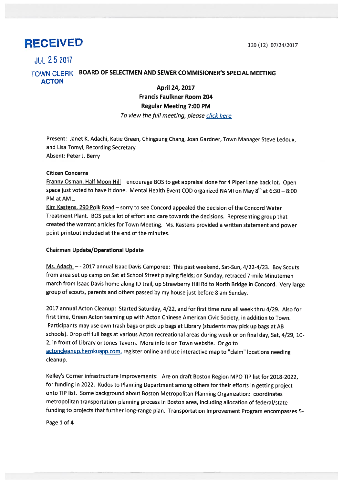# RECEIVED 120 (12) 07/24/2017

# JUL 252017

# TOWN CLERK BOARD OF SELECTMEN AND SEWER COMMISIONER'S SPECIAL MEETING ACTON

## April 24, 2017 Francis Faulkner Room 204 Regular Meeting 7:00 PM To view the full meeting, please click here

Present: Janet K. Adachi, Katie Green, Chingsung Chang, Joan Gardner, Town Manager Steve Ledoux, and Lisa Tomyl, Recording Secretary Absent: Peter J. Berry

## Citizen Concerns

Franny Osman, Half Moon Hill – encourage BOS to get appraisal done for 4 Piper Lane back lot. Open space just voted to have it done. Mental Health Event COD organized NAMI on May  $8^{th}$  at 6:30 – 8:00 PM at AML.

Kim Kastens, 290 Polk Road - sorry to see Concord appealed the decision of the Concord Water Treatment Plant. BOS pu<sup>t</sup> <sup>a</sup> lot of effort and care towards the decisions. Representing group that created the warrant articles for Town Meeting. Ms. Kastens provided <sup>a</sup> written statement and power point printout included at the end of the minutes.

## Chairman Update/Operational Update

Ms. Adachi - - 2017 annual Isaac Davis Camporee: This past weekend, Sat-Sun, 4/22-4/23. Boy Scouts from area set up camp on Sat at School Street <sup>p</sup>laying fields; on Sunday, retraced 7-mile Minutemen march from Isaac Davis home along ID trail, up Strawberry Hill Rd to North Bridge in Concord. Very large group of scouts, parents and others passed by my house just before 8 am Sunday.

2017 annual Acton Cleanup: Started Saturday, 4/22, and for first time runs all week thru 4/29. Also for first time, Green Acton teaming up with Acton Chinese American Civic Society, in addition to Town. Participants may use own trash bags or <sup>p</sup>ick up bags at Library (students may <sup>p</sup>ick up bags at AB schools). Drop off full bags at various Acton recreational areas during week or on final day, Sat, 4/29, 10- 2, in front of Library or Jones Tavern. More info is on Town website. Or go to actoncleanup.herokuapp.com, register online and use interactive map to "claim" locations needing cleanup.

Kelley's Corner infrastructure improvements: Are on draft Boston Region MPO TIP list for 2018-2022, for funding in 2022. Kudos to Planning Department among others for their efforts in getting project onto TIP list. Some background about Boston Metropolitan Planning Organization: coordinates metropolitan transportation-planning process in Boston area, including allocation of federal/state funding to projects that further long-range <sup>p</sup>lan. Transportation Improvement Program encompasses 5-

Page 1 of 4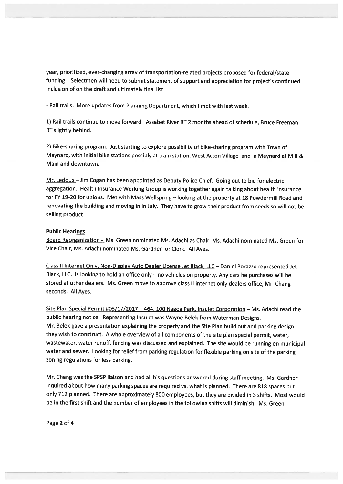year, prioritized, ever-changing array of transportation-related projects propose<sup>d</sup> for federal/state funding. Selectmen will need to submit statement of suppor<sup>t</sup> and appreciation for project's continued inclusion of on the draft and ultimately final list.

-Rail trails: More updates from Planning Department, which <sup>I</sup> met with last week.

1) Rail trails continue to move forward. Assabet River RT 2 months ahead of schedule, Bruce Freeman RT slightly behind.

2) Bike-sharing program: Just starting to explore possibility of bike-sharing program with Town of Maynard, with initial bike stations possibly at train station, West Acton Village and in Maynard at Mill & Main and downtown.

Mr. Ledoux - Jim Cogan has been appointed as Deputy Police Chief. Going out to bid for electric aggregation. Health Insurance Working Group is working together again talking about health insurance for FY 19-20 for unions. Met with Mass Wellspring - looking at the property at 18 Powdermill Road and renovating the building and moving in in July. They have to grow their product from seeds so will not be selling product

#### Public Hearings

Board Reorganization - Ms. Green nominated Ms. Adachi as Chair, Ms. Adachi nominated Ms. Green for Vice Chair, Ms. Adachi nominated Ms. Gardner for Clerk. All Ayes.

Class II Internet Only, Non-Display Auto Dealer License Jet Black, LLC — Daniel Porazzo represented Jet Black, LLC. Is looking to hold an office only — no vehicles on property. Any cars he purchases will be stored at other dealers. Ms. Green move to approve class II internet only dealers office, Mr. Chang seconds. All Ayes.

Site Plan Special Permit #03/17/2017 - 464, 100 Nagog Park, Insulet Corporation - Ms. Adachi read the public hearing notice. Representing Insulet was Wayne Belek from Waterman Designs. Mr. Belek gave <sup>a</sup> presentation explaining the property and the Site Plan build out and parking design they wish to construct. <sup>A</sup> whole overview of all components of the site <sup>p</sup>lan special permit, water, wastewater, water runoff, fencing was discussed and explained. The site would be running on municipal water and sewer. Looking for relief from parking regulation for flexible parking on site of the parking zoning regulations for less parking.

Mr. Chang was the SPSP liaison and had all his questions answered during staff meeting. Ms. Gardner inquired about how many parking spaces are required vs. what is <sup>p</sup>lanned. There are <sup>818</sup> spaces but only <sup>712</sup> <sup>p</sup>lanned. There are approximately <sup>800</sup> employees, but they are divided in <sup>3</sup> shifts. Most would be in the first shift and the number of employees in the following shifts will diminish. Ms. Green

Page 2 of 4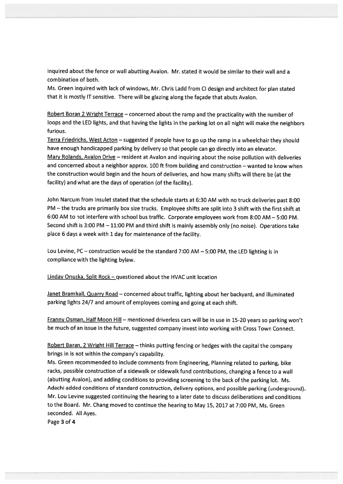inquired about the fence or wall abutting Avalon. Mr. stated it would be similar to their wall and <sup>a</sup> combination of both.

Ms. Green inquired with lack of windows, Mr. Chris Ladd from Cl design and architect for <sup>p</sup>lan stated that it is mostly IT sensitive. There will be <sup>g</sup>lazing along the façade that abuts Avalon.

Robert Boran <sup>2</sup> Wright Terrace — concerned about the ramp and the practicality with the number of loops and the LED lights, and that having the lights in the parking lot on all night will make the neighbors furious.

Terra Friedrichs, West Acton — suggested if people have to go up the ramp in <sup>a</sup> wheelchair they should have enoug<sup>h</sup> handicapped parking by delivery so that people can go directly into an elevator. Mary Rolands, Avalon Drive — resident at Avalon and inquiring about the noise pollution with deliveries and concerned about <sup>a</sup> neighbor approx. <sup>100</sup> ft from building and construction — wanted to know when the construction would begin and the hours of deliveries, and how many shifts will there be (at the facility) and what are the days of operation (of the facility).

John Narcum from Insulet stated that the schedule starts at 6:30 AM with no truck deliveries pas<sup>t</sup> 8:00 PM —the trucks are primarily box size trucks. Employee shifts are split into <sup>3</sup> shift with the first shift at 6:00 AM to not interfere with school bus traffic. Corporate employees work from 8:00 AM — 5:00 PM. Second shift is 3:00 PM — 11:00 PM and third shift is mainly assembly only (no noise). Operations take <sup>p</sup>lace <sup>6</sup> days <sup>a</sup> week with <sup>1</sup> day for maintenance of the facility.

Lou Levine, PC — construction would be the standard 7:00 AM — 5:00 PM, the LED lighting is in compliance with the lighting bylaw.

Linday Onuska, Split Rock — questioned about the HVAC unit location

Janet Bramhall, Quarry Road — concerned about traffic, lighting about her backyard, and illuminated parking lights 24/7 and amount of employees coming and going at each shift.

Franny Osman, Half Moon Hill — mentioned driverless cars will be in use in 15-20 years so parking won't be much of an issue in the future, suggested company invest into working with Cross Town Connect.

Robert Baran, 2 Wright Hill Terrace - thinks putting fencing or hedges with the capital the company brings in is not within the company's capability.

Ms. Green recommended to include comments from Engineering, Planning related to parking, bike racks, possible construction of <sup>a</sup> sidewalk or sidewalk fund contributions, changing <sup>a</sup> fence to <sup>a</sup> wall (abutting Avalon), and adding conditions to providing screening to the back of the parking lot. Ms. Adachi added conditions of standard construction, delivery options, and possible parking (underground). Mr. Lou Levine suggested continuing the hearing to <sup>a</sup> later date to discuss deliberations and conditions to the Board. Mr. Chang moved to continue the hearing to May 15, <sup>2017</sup> at 7:00 PM, Ms. Green seconded. All Ayes.

Page 3 of 4